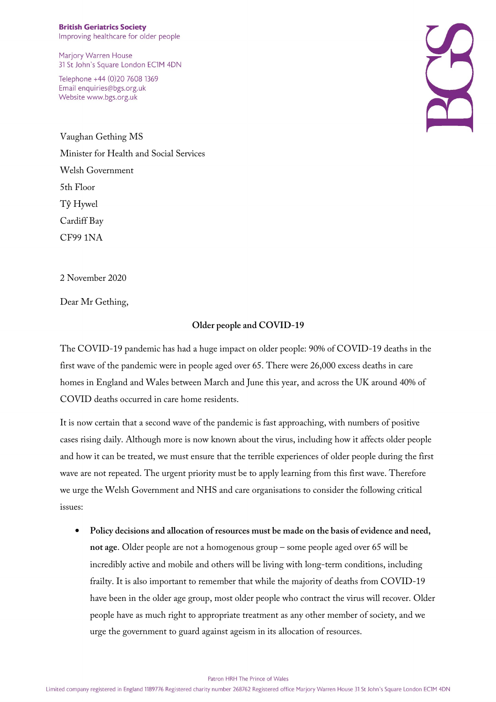Marjory Warren House 31 St John's Square London EC1M 4DN

Telephone +44 (0)20 7608 1369 Email enquiries@bgs.org.uk Website www.bgs.org.uk



Vaughan Gething MS Minister for Health and Social Services Welsh Government 5th Floor Tŷ Hywel Cardiff Bay CF99 1NA

2 November 2020

Dear Mr Gething,

## **Older people and COVID-19**

The COVID-19 pandemic has had a huge impact on older people: 90% of COVID-19 deaths in the first wave of the pandemic were in people aged over 65. There were 26,000 excess deaths in care homes in England and Wales between March and June this year, and across the UK around 40% of COVID deaths occurred in care home residents.

It is now certain that a second wave of the pandemic is fast approaching, with numbers of positive cases rising daily. Although more is now known about the virus, including how it affects older people and how it can be treated, we must ensure that the terrible experiences of older people during the first wave are not repeated. The urgent priority must be to apply learning from this first wave. Therefore we urge the Welsh Government and NHS and care organisations to consider the following critical issues:

• **Policy decisions and allocation of resources must be made on the basis of evidence and need, not age**. Older people are not a homogenous group – some people aged over 65 will be incredibly active and mobile and others will be living with long-term conditions, including frailty. It is also important to remember that while the majority of deaths from COVID-19 have been in the older age group, most older people who contract the virus will recover. Older people have as much right to appropriate treatment as any other member of society, and we urge the government to guard against ageism in its allocation of resources.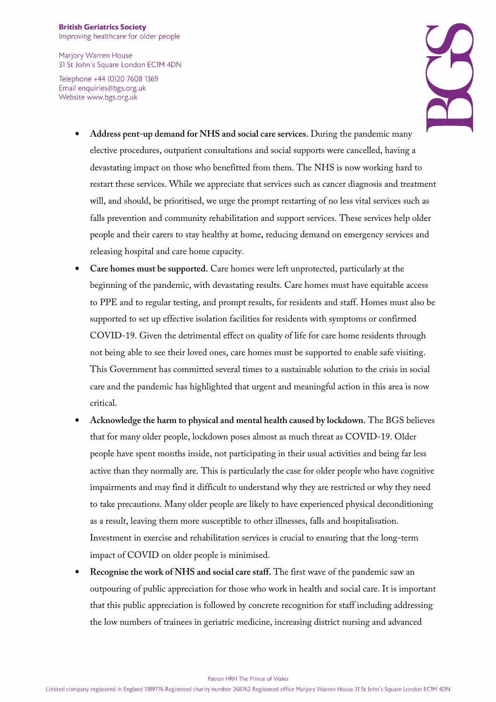Marjory Warren House 31 St John's Square London EC1M 4DN

Telephone +44 (0)20 7608 1369 Email enquiries@bgs.org.uk Website www.bgs.org.uk



- **Address pent-up demand for NHS and social care services.** During the pandemic many elective procedures, outpatient consultations and social supports were cancelled, having a devastating impact on those who benefitted from them. The NHS is now working hard to restart these services. While we appreciate that services such as cancer diagnosis and treatment will, and should, be prioritised, we urge the prompt restarting of no less vital services such as falls prevention and community rehabilitation and support services. These services help older people and their carers to stay healthy at home, reducing demand on emergency services and releasing hospital and care home capacity.
- **Care homes must be supported.** Care homes were left unprotected, particularly at the beginning of the pandemic, with devastating results. Care homes must have equitable access to PPE and to regular testing, and prompt results, for residents and staff. Homes must also be supported to set up effective isolation facilities for residents with symptoms or confirmed COVID-19. Given the detrimental effect on quality of life for care home residents through not being able to see their loved ones, care homes must be supported to enable safe visiting. This Government has committed several times to a sustainable solution to the crisis in social care and the pandemic has highlighted that urgent and meaningful action in this area is now critical.
- **Acknowledge the harm to physical and mental health caused by lockdown.** The BGS believes that for many older people, lockdown poses almost as much threat as COVID-19. Older people have spent months inside, not participating in their usual activities and being far less active than they normally are. This is particularly the case for older people who have cognitive impairments and may find it difficult to understand why they are restricted or why they need to take precautions. Many older people are likely to have experienced physical deconditioning as a result, leaving them more susceptible to other illnesses, falls and hospitalisation. Investment in exercise and rehabilitation services is crucial to ensuring that the long-term impact of COVID on older people is minimised.
- **Recognise the work of NHS and social care staff.** The first wave of the pandemic saw an outpouring of public appreciation for those who work in health and social care. It is important that this public appreciation is followed by concrete recognition for staff including addressing the low numbers of trainees in geriatric medicine, increasing district nursing and advanced